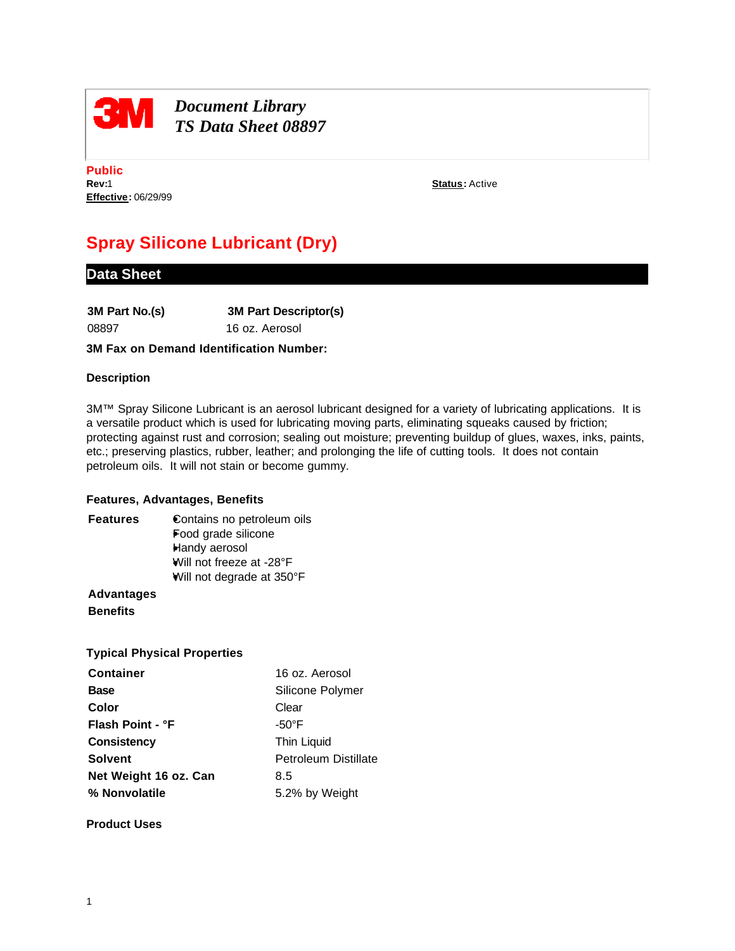

## **BM** *Document Library*<br> *TS Deta Shart* 000 *TS Data Sheet 08897*

**Public Rev:**1 **Status:** Active **Effective:** 06/29/99

# **Spray Silicone Lubricant (Dry)**

### **Data Sheet**

| 3M Part No.(s) | <b>3M Part Descriptor(s)</b> |
|----------------|------------------------------|
| 08897          | 16 oz. Aerosol               |

#### **3M Fax on Demand Identification Number:**

#### **Description**

3M™ Spray Silicone Lubricant is an aerosol lubricant designed for a variety of lubricating applications. It is a versatile product which is used for lubricating moving parts, eliminating squeaks caused by friction; protecting against rust and corrosion; sealing out moisture; preventing buildup of glues, waxes, inks, paints, etc.; preserving plastics, rubber, leather; and prolonging the life of cutting tools. It does not contain petroleum oils. It will not stain or become gummy.

#### **Features, Advantages, Benefits**

**Features** Contains no petroleum oils Food grade silicone Handy aerosol Will not freeze at -28°F Will not degrade at 350°F

**Advantages Benefits**

### **Typical Physical Properties**

| <b>Container</b>      | 16 oz. Aerosol       |
|-----------------------|----------------------|
| <b>Base</b>           | Silicone Polymer     |
| Color                 | Clear                |
| Flash Point - °F      | $-50^{\circ}$ F      |
| <b>Consistency</b>    | Thin Liquid          |
| <b>Solvent</b>        | Petroleum Distillate |
| Net Weight 16 oz. Can | 8.5                  |
| % Nonvolatile         | 5.2% by Weight       |

**Product Uses**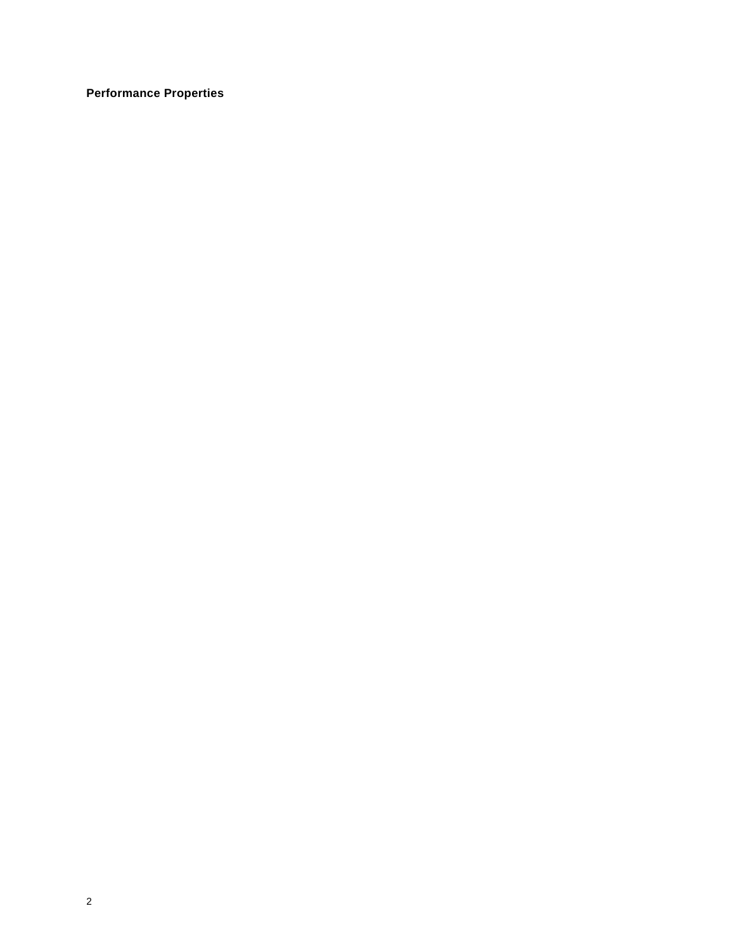**Performance Properties**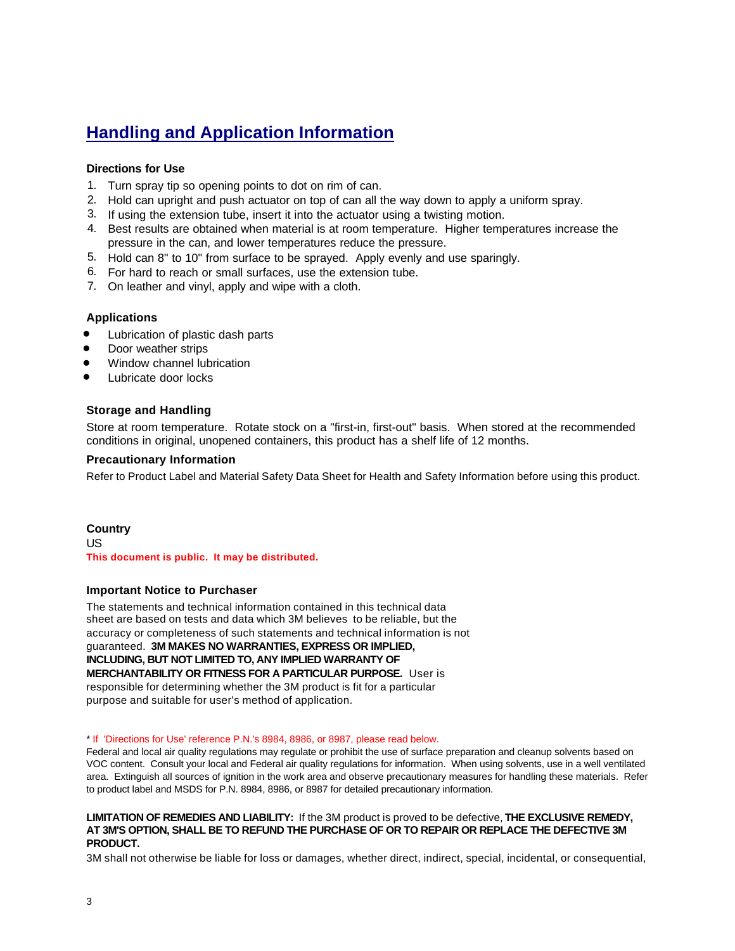## **Handling and Application Information**

#### **Directions for Use**

- 1. Turn spray tip so opening points to dot on rim of can.
- 2. Hold can upright and push actuator on top of can all the way down to apply a uniform spray.
- 3. If using the extension tube, insert it into the actuator using a twisting motion.
- 4. Best results are obtained when material is at room temperature. Higher temperatures increase the pressure in the can, and lower temperatures reduce the pressure.
- 5. Hold can 8" to 10" from surface to be sprayed. Apply evenly and use sparingly.
- 6. For hard to reach or small surfaces, use the extension tube.
- 7. On leather and vinyl, apply and wipe with a cloth.

#### **Applications**

- Lubrication of plastic dash parts
- Door weather strips
- Window channel lubrication
- l Lubricate door locks

#### **Storage and Handling**

Store at room temperature. Rotate stock on a "first-in, first-out" basis. When stored at the recommended conditions in original, unopened containers, this product has a shelf life of 12 months.

#### **Precautionary Information**

Refer to Product Label and Material Safety Data Sheet for Health and Safety Information before using this product.

#### **Country** US

**This document is public. It may be distributed.**

#### **Important Notice to Purchaser**

The statements and technical information contained in this technical data sheet are based on tests and data which 3M believes to be reliable, but the accuracy or completeness of such statements and technical information is not guaranteed. **3M MAKES NO WARRANTIES, EXPRESS OR IMPLIED, INCLUDING, BUT NOT LIMITED TO, ANY IMPLIED WARRANTY OF MERCHANTABILITY OR FITNESS FOR A PARTICULAR PURPOSE.** User is responsible for determining whether the 3M product is fit for a particular purpose and suitable for user's method of application.

\* If 'Directions for Use' reference P.N.'s 8984, 8986, or 8987, please read below.

Federal and local air quality regulations may regulate or prohibit the use of surface preparation and cleanup solvents based on VOC content. Consult your local and Federal air quality regulations for information. When using solvents, use in a well ventilated area. Extinguish all sources of ignition in the work area and observe precautionary measures for handling these materials. Refer to product label and MSDS for P.N. 8984, 8986, or 8987 for detailed precautionary information.

#### **LIMITATION OF REMEDIES AND LIABILITY:** If the 3M product is proved to be defective, **THE EXCLUSIVE REMEDY, AT 3M'S OPTION, SHALL BE TO REFUND THE PURCHASE OF OR TO REPAIR OR REPLACE THE DEFECTIVE 3M PRODUCT.**

3M shall not otherwise be liable for loss or damages, whether direct, indirect, special, incidental, or consequential,